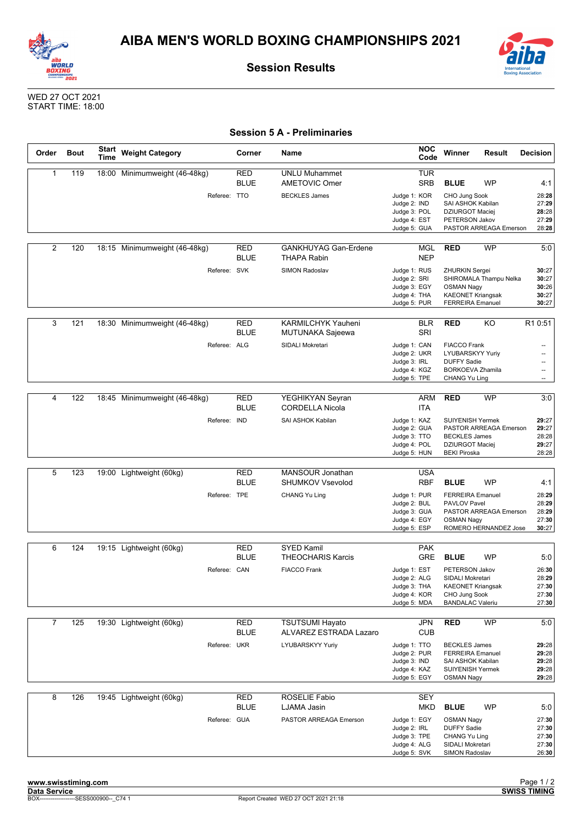



**Session Results**



WED 27 OCT 2021 START TIME: 18:00

## **Session 5 A - Preliminaries**

| Order          | <b>Bout</b> | <b>Start</b><br>Time | <b>Weight Category</b>        | Corner                    | Name                                              | <b>NOC</b><br>Code                                                                  | Winner                                                                                                        | <b>Result</b>                                   | <b>Decision</b>                                      |
|----------------|-------------|----------------------|-------------------------------|---------------------------|---------------------------------------------------|-------------------------------------------------------------------------------------|---------------------------------------------------------------------------------------------------------------|-------------------------------------------------|------------------------------------------------------|
| 1              | 119         |                      | 18:00 Minimumweight (46-48kg) | RED<br><b>BLUE</b>        | <b>UNLU Muhammet</b><br><b>AMETOVIC Omer</b>      | <b>TUR</b><br><b>SRB</b>                                                            | <b>BLUE</b>                                                                                                   | WP                                              | 4:1                                                  |
|                |             |                      | Referee: TTO                  |                           | <b>BECKLES James</b>                              | Judge 1: KOR<br>Judge 2: IND<br>Judge 3: POL<br>Judge 4: EST<br>Judge 5: GUA        | CHO Jung Sook<br>SAI ASHOK Kabilan<br><b>DZIURGOT Maciej</b><br>PETERSON Jakov                                | PASTOR ARREAGA Emerson                          | 28:28<br>27:29<br>28:28<br>27:29<br>28:28            |
| $\overline{2}$ | 120         |                      | 18:15 Minimumweight (46-48kg) | RED<br><b>BLUE</b>        | <b>GANKHUYAG Gan-Erdene</b><br><b>THAPA Rabin</b> | MGL<br><b>NEP</b>                                                                   | <b>RED</b>                                                                                                    | <b>WP</b>                                       | 5:0                                                  |
|                |             |                      | Referee: SVK                  |                           | <b>SIMON Radoslav</b>                             | Judge 1: RUS<br>Judge 2: SRI<br>Judge 3: EGY<br>Judge 4: THA<br>Judge 5: PUR        | ZHURKIN Sergei<br><b>OSMAN Nagy</b><br><b>KAEONET Kriangsak</b><br><b>FERREIRA Emanuel</b>                    | SHIROMALA Thampu Nelka                          | 30:27<br>30:27<br>30:26<br>30:27<br>30:27            |
| 3              | 121         |                      | 18:30 Minimumweight (46-48kg) | <b>RED</b><br><b>BLUE</b> | KARMILCHYK Yauheni<br>MUTUNAKA Sajeewa            | <b>BLR</b><br>SRI                                                                   | <b>RED</b>                                                                                                    | KO                                              | R1 0:51                                              |
|                |             |                      | Referee: ALG                  |                           | SIDALI Mokretari                                  | Judge 1: CAN<br>Judge 2: UKR<br>Judge 3: IRL<br>Judge 4: KGZ<br>Judge 5: TPE        | <b>FIACCO Frank</b><br>LYUBARSKYY Yuriy<br><b>DUFFY Sadie</b><br><b>BORKOEVA Zhamila</b><br>CHANG Yu Ling     |                                                 | $\overline{\phantom{a}}$<br>$\overline{\phantom{a}}$ |
| 4              | 122         |                      | 18:45 Minimumweight (46-48kg) | <b>RED</b><br><b>BLUE</b> | YEGHIKYAN Seyran<br><b>CORDELLA Nicola</b>        | ARM<br>ITA                                                                          | <b>RED</b>                                                                                                    | WP                                              | 3:0                                                  |
|                |             |                      | Referee: IND                  |                           | SAI ASHOK Kabilan                                 | Judge 1: KAZ<br>Judge 2: GUA<br>Judge 3: TTO<br>Judge 4: POL<br>Judge 5: HUN        | <b>SUIYENISH Yermek</b><br><b>BECKLES James</b><br>DZIURGOT Maciej<br><b>BEKI Piroska</b>                     | PASTOR ARREAGA Emerson                          | 29:27<br>29:27<br>28:28<br>29:27<br>28:28            |
| 5              | 123         |                      | 19:00 Lightweight (60kg)      | RED<br><b>BLUE</b>        | MANSOUR Jonathan<br><b>SHUMKOV Vsevolod</b>       | <b>USA</b><br>RBF                                                                   | <b>BLUE</b>                                                                                                   | <b>WP</b>                                       | 4:1                                                  |
|                |             |                      | Referee: TPE                  |                           | CHANG Yu Ling                                     | Judge 1: PUR<br>Judge 2: BUL<br>Judge 3: GUA<br>Judge 4: EGY<br>Judge 5: ESP        | <b>FERREIRA Emanuel</b><br>PAVLOV Pavel<br><b>OSMAN Nagy</b>                                                  | PASTOR ARREAGA Emerson<br>ROMERO HERNANDEZ Jose | 28:29<br>28:29<br>28:29<br>27:30<br>30:27            |
|                |             |                      |                               |                           |                                                   |                                                                                     |                                                                                                               |                                                 |                                                      |
| 6              | 124         |                      | 19:15 Lightweight (60kg)      | RED<br><b>BLUE</b>        | <b>SYED Kamil</b><br><b>THEOCHARIS Karcis</b>     | <b>PAK</b><br><b>GRE</b>                                                            | <b>BLUE</b>                                                                                                   | <b>WP</b>                                       | 5:0                                                  |
|                |             |                      | Referee: CAN                  |                           | <b>FIACCO Frank</b>                               | Judge 1: EST<br>Judge 2: ALG<br>Judge 3: THA<br>Judge 4: KOR<br>Judge 5: MDA        | PETERSON Jakov<br>SIDALI Mokretari<br><b>KAEONET Kriangsak</b><br>CHO Jung Sook<br><b>BANDALAC Valeriu</b>    |                                                 | 26:30<br>28:29<br>27:30<br>27:30<br>27:30            |
| 7              | 125         |                      | 19:30 Lightweight (60kg)      | RED                       | <b>TSUTSUMI Hayato</b>                            | JPN                                                                                 | <b>RED</b>                                                                                                    | WP                                              | 5:0                                                  |
|                |             |                      |                               | <b>BLUE</b>               | ALVAREZ ESTRADA Lazaro                            | <b>CUB</b>                                                                          |                                                                                                               |                                                 |                                                      |
|                |             |                      | Referee: UKR                  |                           | LYUBARSKYY Yuriy                                  | Judge 1: TTO<br>Judge 2: PUR<br>Judge 3: IND<br>Judge 4: KAZ<br>Judge 5: EGY        | <b>BECKLES James</b><br><b>FERREIRA Emanuel</b><br>SAI ASHOK Kabilan<br>SUIYENISH Yermek<br><b>OSMAN Nagy</b> |                                                 | 29:28<br>29:28<br>29:28<br>29:28<br>29:28            |
| 8              | 126         |                      | 19:45 Lightweight (60kg)      | RED<br><b>BLUE</b>        | ROSELIE Fabio                                     | <b>SEY</b>                                                                          | <b>BLUE</b>                                                                                                   | <b>WP</b>                                       |                                                      |
|                |             |                      | Referee: GUA                  |                           | LJAMA Jasin<br>PASTOR ARREAGA Emerson             | MKD<br>Judge 1: EGY<br>Judge 2: IRL<br>Judge 3: TPE<br>Judge 4: ALG<br>Judge 5: SVK | <b>OSMAN Nagy</b><br><b>DUFFY Sadie</b><br>CHANG Yu Ling<br>SIDALI Mokretari<br>SIMON Radoslav                |                                                 | 5:0<br>27:30<br>27:30<br>27:30<br>27:30<br>26:30     |